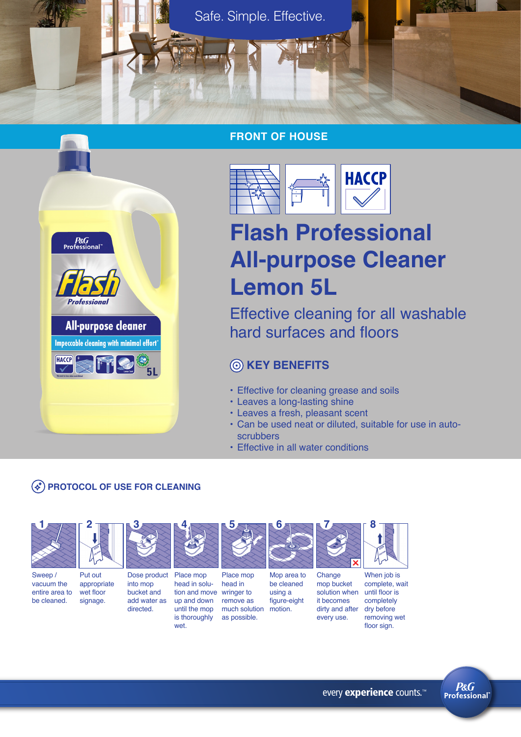

## **FRONT OF HOUSE**



# **Flash Professional All-purpose Cleaner Lemon 5L**

Effective cleaning for all washable hard surfaces and floors

# **KEY BENEFITS**

- Effective for cleaning grease and soils
- Leaves a long-lasting shine
- Leaves a fresh, pleasant scent
- Can be used neat or diluted, suitable for use in autoscrubbers
- Effective in all water conditions

# **(\*) PROTOCOL OF USE FOR CLEANING**

**2**

 $P & G$ <br>Professional

Professional

HACCP **H** 

**All-purpose cleaner** Impeccable cleaning with minimal effort\*

FF



**3**

Sweep / vacuum the entire area to be cleaned. Put out appropriate wet floor signage.

into mop



Dose product Place mop bucket and add water as directed. head in soluup and down

until the mop is thoroughly wet.



tion and move wringer to Place mop head in remove as much solution as possible. figure-eight motion.

**5**

Mop area to be cleaned using a



**7**

When job is complete, wait until floor is completely

**8**

dry before removing wet floor sign.